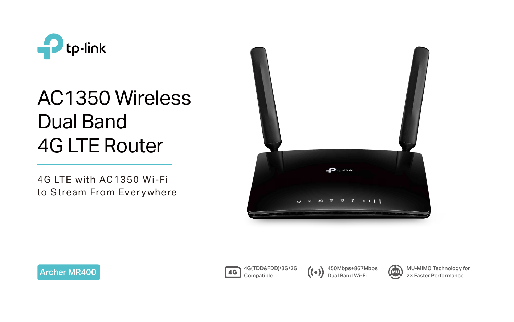

# AC1350 Wireless Dual Band 4G LTE Router

4G LTE with AC1350 Wi-Fi to Stream From Everywhere









450Mbps+867Mbps Dual Band Wi-Fi



MU-MIMO Technology for 2× Faster Performance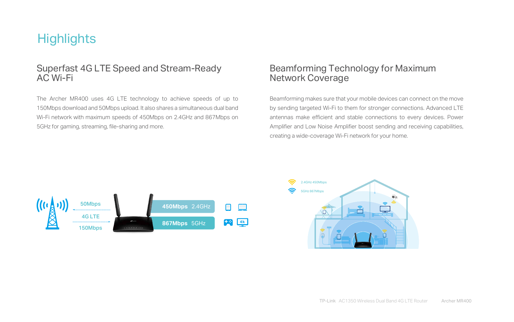The Archer MR400 uses 4G LTE technology to achieve speeds of up to 150Mbps download and 50Mbps upload. It also shares a simultaneous dual band Wi-Fi network with maximum speeds of 450Mbps on 2.4GHz and 867Mbps on 5GHz for gaming, streaming, file-sharing and more.

## **Highlights**

#### Superfast 4G LTE Speed and Stream-Ready AC Wi-Fi

Beamforming makes sure that your mobile devices can connect on the move by sending targeted Wi-Fi to them for stronger connections. Advanced LTE antennas make efficient and stable connections to every devices. Power Amplifier and Low Noise Amplifier boost sending and receiving capabilities, creating a wide-coverage Wi-Fi network for your home.

#### Beamforming Technology for Maximum Network Coverage

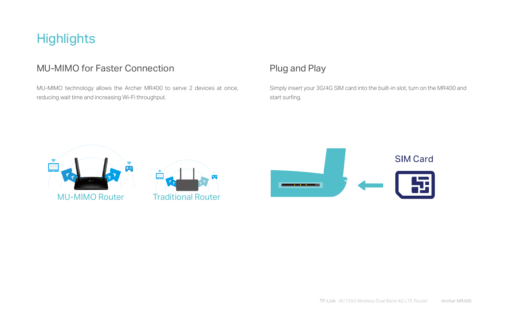#### Plug and Play

Simply insert your 3G/4G SIM card into the built-in slot, turn on the MR400 and

start surfing.



## **Highlights**

## MU-MIMO for Faster Connection

MU-MIMO technology allows the Archer MR400 to serve 2 devices at once, reducing wait time and increasing Wi-Fi throughput.



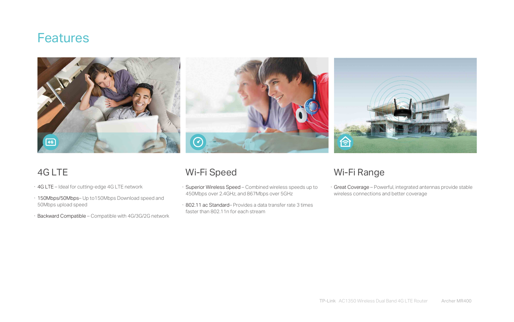- · 4G LTE Ideal for cutting-edge 4G LTE network
- · 150Mbps/50Mbps– Up to150Mbps Download speed and 50Mbps upload speed
- · Backward Compatible Compatible with 4G/3G/2G network

## **Features**





## 4G LTE

- · Superior Wireless Speed Combined wireless speeds up to 450Mbps over 2.4GHz, and 867Mbps over 5GHz
- · 802.11 ac Standard– Provides a data transfer rate 3 times faster than 802.11n for each stream

## Wi-Fi Speed

· Great Coverage – Powerful, integrated antennas provide stable wireless connections and better coverage

## Wi-Fi Range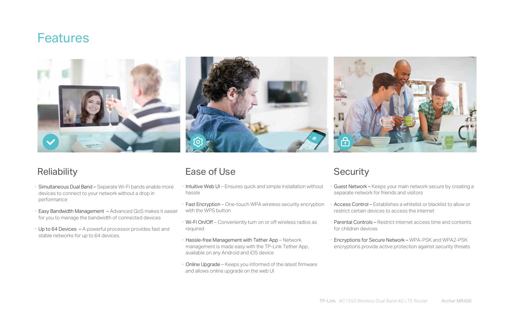## **Features**





## **Reliability**

- · Intuitive Web UI Ensures quick and simple installation without hassle Guest Network – Keeps your main network secure by creating a separate network for friends and visitors
- · Fast Encryption One-touch WPA wireless security encryption with the WPS button · Access Control – Establishes a whitelist or blacklist to allow or restrict certain devices to access the internet
- · Wi-Fi On/Off Conveniently turn on or off wireless radios as required
- · Hassle-free Management with Tether App Network management is made easy with the TP-Link Tether App, available on any Android and iOS device
- · Online Upgrade Keeps you informed of the latest firmware and allows online upgrade on the web UI



- · Parental Controls Restrict internet access time and contents for children devices
- · Encryptions for Secure Network WPA-PSK and WPA2-PSK encryptions provide active protection against security threats
- · Simultaneous Dual Band Separate Wi-Fi bands enable more devices to connect to your network without a drop in performance
- · Easy Bandwidth Management Advanced QoS makes it easier for you to manage the bandwidth of connected devices
- · Up to 64 Devices A powerful processor provides fast and stable networks for up to 64 devices.

## Ease of Use Security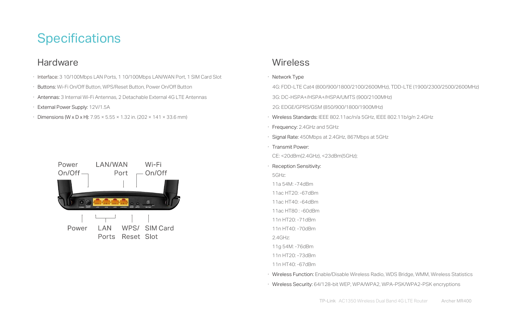## **Specifications**

## **Hardware**

- · Interface: 3 10/100Mbps LAN Ports, 1 10/100Mbps LAN/WAN Port, 1 SIM Card Slot
- · Buttons: Wi-Fi On/Off Button, WPS/Reset Button, Power On/Off Button
- · Antennas: 3 Internal Wi-Fi Antennas, 2 Detachable External 4G LTE Antennas
- · External Power Supply: 12V/1.5A
- Dimensions (W x D x H):  $7.95 \times 5.55 \times 1.32$  in. (202  $\times$  141  $\times$  33.6 mm)



#### **Wireless**

 4G: FDD-LTE Cat4 (800/900/1800/2100/2600MHz), TDD-LTE (1900/2300/2500/2600MHz) 3G: DC-HSPA+/HSPA+/HSPA/UMTS (900/2100MHz) 2G: EDGE/GPRS/GSM (850/900/1800/1900MHz) · Wireless Standards: IEEE 802.11ac/n/a 5GHz, IEEE 802.11b/g/n 2.4GHz

- · Network Type
	-
	-
- 
- 
- · Frequency: 2.4GHz and 5GHz
- 
- · Transmit Power: CE: <20dBm(2.4GHz), <23dBm(5GHz);
- · Reception Sensitivity: 5GHz:
- 11a 54M: -74dBm
- 11ac HT20: -67dBm
- 11ac HT40: -64dBm
- 11ac HT80 : -60dBm
- 11n HT20: -71dBm
- 11n HT40: -70dBm 2.4GHz:
- 11g 54M: -76dBm
- 11n HT20: -73dBm
- 11n HT40: -67dBm
- 
- 

· Signal Rate: 450Mbps at 2.4GHz, 867Mbps at 5GHz

· Wireless Function: Enable/Disable Wireless Radio, WDS Bridge, WMM, Wireless Statistics · Wireless Security: 64/128-bit WEP, WPA/WPA2, WPA-PSK/WPA2-PSK encryptions

TP-Link AC1350 Wireless Dual Band 4G LTE Router Archer MR400